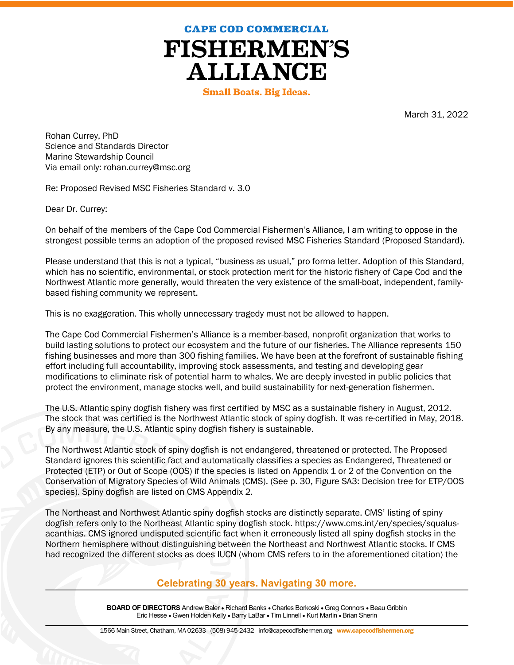**CAPE COD COMMERCIAL** 

**FISHERMEN'S ALLIANCE** 

**Small Boats. Big Ideas.** 

March 31, 2022

Rohan Currey, PhD Science and Standards Director Marine Stewardship Council Via email only: rohan.currey@msc.org

Re: Proposed Revised MSC Fisheries Standard v. 3.0

Dear Dr. Currey:

 $\overline{a}$ 

On behalf of the members of the Cape Cod Commercial Fishermen's Alliance, I am writing to oppose in the strongest possible terms an adoption of the proposed revised MSC Fisheries Standard (Proposed Standard).

Please understand that this is not a typical, "business as usual," pro forma letter. Adoption of this Standard, which has no scientific, environmental, or stock protection merit for the historic fishery of Cape Cod and the Northwest Atlantic more generally, would threaten the very existence of the small-boat, independent, familybased fishing community we represent.

This is no exaggeration. This wholly unnecessary tragedy must not be allowed to happen.

The Cape Cod Commercial Fishermen's Alliance is a member-based, nonprofit organization that works to build lasting solutions to protect our ecosystem and the future of our fisheries. The Alliance represents 150 fishing businesses and more than 300 fishing families. We have been at the forefront of sustainable fishing effort including full accountability, improving stock assessments, and testing and developing gear modifications to eliminate risk of potential harm to whales. We are deeply invested in public policies that protect the environment, manage stocks well, and build sustainability for next-generation fishermen.

The U.S. Atlantic spiny dogfish fishery was first certified by MSC as a sustainable fishery in August, 2012. The stock that was certified is the Northwest Atlantic stock of spiny dogfish. It was re-certified in May, 2018. By any measure, the U.S. Atlantic spiny dogfish fishery is sustainable.

The Northwest Atlantic stock of spiny dogfish is not endangered, threatened or protected. The Proposed Standard ignores this scientific fact and automatically classifies a species as Endangered, Threatened or Protected (ETP) or Out of Scope (OOS) if the species is listed on Appendix 1 or 2 of the Convention on the Conservation of Migratory Species of Wild Animals (CMS). (See p. 30, Figure SA3: Decision tree for ETP/OOS species). Spiny dogfish are listed on CMS Appendix 2.

The Northeast and Northwest Atlantic spiny dogfish stocks are distinctly separate. CMS' listing of spiny dogfish refers only to the Northeast Atlantic spiny dogfish stock. https://www.cms.int/en/species/squalusacanthias. CMS ignored undisputed scientific fact when it erroneously listed all spiny dogfish stocks in the Northern hemisphere without distinguishing between the Northeast and Northwest Atlantic stocks. If CMS had recognized the different stocks as does IUCN (whom CMS refers to in the aforementioned citation) the

## Celebrating 30 years. Navigating 30 more.

BOARD OF DIRECTORS Andrew Baler • Richard Banks • Charles Borkoski • Greg Connors • Beau Gribbin Eric Hesse • Gwen Holden Kelly • Barry LaBar • Tim Linnell • Kurt Martin • Brian Sherin